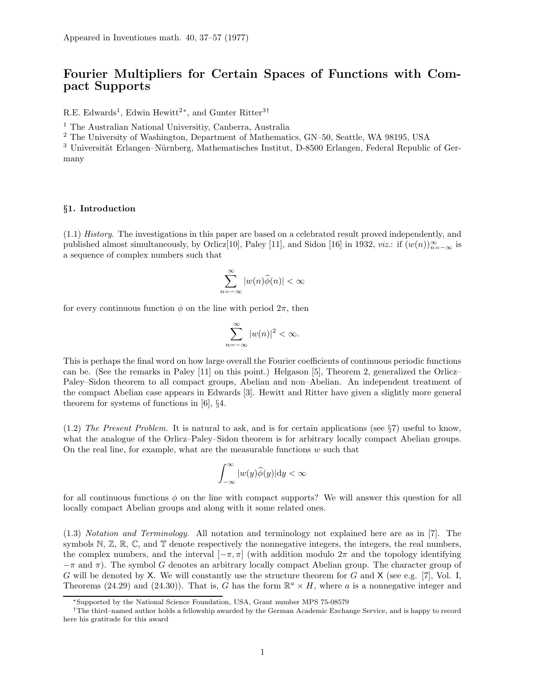# Fourier Multipliers for Certain Spaces of Functions with Compact Supports

R.E. Edwards<sup>1</sup>, Edwin Hewitt<sup>2\*</sup>, and Gunter Ritter<sup>3†</sup>

<sup>1</sup> The Australian National Universitiy, Canberra, Australia

<sup>2</sup> The University of Washington, Department of Mathematics, GN–50, Seattle, WA 98195, USA

<sup>3</sup> Universität Erlangen–Nürnberg, Mathematisches Institut, D-8500 Erlangen, Federal Republic of Germany

# §1. Introduction

(1.1) History. The investigations in this paper are based on a celebrated result proved independently, and published almost simultaneously, by Orlicz[10], Paley [11], and Sidon [16] in 1932, *viz*.: if  $(w(n))_{n=-\infty}^{\infty}$  is a sequence of complex numbers such that

$$
\sum_{n=-\infty}^{\infty} |w(n)\widehat{\phi}(n)| < \infty
$$

for every continuous function  $\phi$  on the line with period  $2\pi$ , then

$$
\sum_{n=-\infty}^{\infty} |w(n)|^2 < \infty.
$$

This is perhaps the final word on how large overall the Fourier coefficients of continuous periodic functions can be. (See the remarks in Paley [11] on this point.) Helgason [5], Theorem 2, generalized the Orlicz– Paley–Sidon theorem to all compact groups, Abelian and non–Abelian. An independent treatment of the compact Abelian case appears in Edwards [3]. Hewitt and Ritter have given a slightly more general theorem for systems of functions in [6], §4.

(1.2) The Present Problem. It is natural to ask, and is for certain applications (see §7) useful to know, what the analogue of the Orlicz–Paley–Sidon theorem is for arbitrary locally compact Abelian groups. On the real line, for example, what are the measurable functions  $w$  such that

$$
\int_{-\infty}^{\infty}|w(y)\widehat{\phi}(y)|\mathrm{d}y<\infty
$$

for all continuous functions  $\phi$  on the line with compact supports? We will answer this question for all locally compact Abelian groups and along with it some related ones.

(1.3) Notation and Terminology. All notation and terminology not explained here are as in [7]. The symbols  $\mathbb{N}, \mathbb{Z}, \mathbb{R}, \mathbb{C}$ , and  $\mathbb{T}$  denote respectively the nonnegative integers, the integers, the real numbers, the complex numbers, and the interval  $[-\pi, \pi]$  (with addition modulo  $2\pi$  and the topology identifying  $-\pi$  and  $\pi$ ). The symbol G denotes an arbitrary locally compact Abelian group. The character group of G will be denoted by X. We will constantly use the structure theorem for G and X (see e.g. [7], Vol. I, Theorems (24.29) and (24.30)). That is, G has the form  $\mathbb{R}^a \times H$ , where a is a nonnegative integer and

<sup>∗</sup>Supported by the National Science Foundation, USA, Grant number MPS 75-08579

<sup>†</sup>The third–named author holds a fellowship awarded by the German Academic Exchange Service, and is happy to record here his gratitude for this award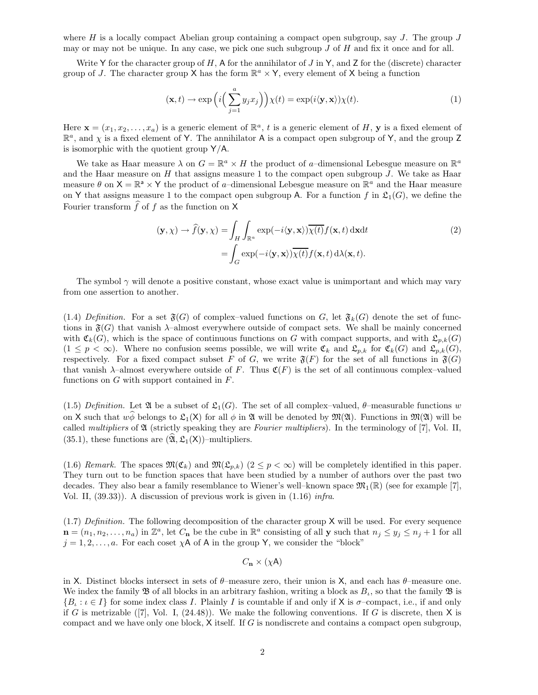where H is a locally compact Abelian group containing a compact open subgroup, say J. The group  $J$ may or may not be unique. In any case, we pick one such subgroup  $J$  of  $H$  and fix it once and for all.

Write Y for the character group of  $H$ , A for the annihilator of  $J$  in Y, and Z for the (discrete) character group of J. The character group X has the form  $\mathbb{R}^a \times Y$ , every element of X being a function

$$
(\mathbf{x},t) \to \exp\left(i\Big(\sum_{j=1}^{a} y_j x_j\Big)\right) \chi(t) = \exp(i\langle \mathbf{y}, \mathbf{x} \rangle) \chi(t). \tag{1}
$$

Here  $\mathbf{x} = (x_1, x_2, \dots, x_a)$  is a generic element of  $\mathbb{R}^a$ , t is a generic element of H, y is a fixed element of  $\mathbb{R}^a$ , and  $\chi$  is a fixed element of Y. The annihilator A is a compact open subgroup of Y, and the group Z is isomorphic with the quotient group Y/A.

We take as Haar measure  $\lambda$  on  $G = \mathbb{R}^a \times H$  the product of a-dimensional Lebesgue measure on  $\mathbb{R}^a$ and the Haar measure on  $H$  that assigns measure 1 to the compact open subgroup  $J$ . We take as Haar measure  $\theta$  on  $X = \mathbb{R}^a \times Y$  the product of a-dimensional Lebesgue measure on  $\mathbb{R}^a$  and the Haar measure on Y that assigns measure 1 to the compact open subgroup A. For a function f in  $\mathfrak{L}_1(G)$ , we define the Fourier transform  $\widehat{f}$  of f as the function on X

$$
(\mathbf{y}, \chi) \to \hat{f}(\mathbf{y}, \chi) = \int_H \int_{\mathbb{R}^a} \exp(-i \langle \mathbf{y}, \mathbf{x} \rangle) \overline{\chi(t)} f(\mathbf{x}, t) \, d\mathbf{x} dt
$$
  

$$
= \int_G \exp(-i \langle \mathbf{y}, \mathbf{x} \rangle) \overline{\chi(t)} f(\mathbf{x}, t) \, d\lambda(\mathbf{x}, t).
$$
 (2)

The symbol  $\gamma$  will denote a positive constant, whose exact value is unimportant and which may vary from one assertion to another.

(1.4) Definition. For a set  $\mathfrak{F}(G)$  of complex-valued functions on G, let  $\mathfrak{F}_k(G)$  denote the set of functions in  $\mathfrak{F}(G)$  that vanish  $\lambda$ –almost everywhere outside of compact sets. We shall be mainly concerned with  $\mathfrak{C}_k(G)$ , which is the space of continuous functions on G with compact supports, and with  $\mathfrak{C}_{p,k}(G)$  $(1 \leq p < \infty)$ . Where no confusion seems possible, we will write  $\mathfrak{C}_k$  and  $\mathfrak{L}_{p,k}$  for  $\mathfrak{C}_k(G)$  and  $\mathfrak{L}_{p,k}(G)$ , respectively. For a fixed compact subset F of G, we write  $\mathfrak{F}(F)$  for the set of all functions in  $\mathfrak{F}(G)$ that vanish  $\lambda$ –almost everywhere outside of F. Thus  $\mathfrak{C}(F)$  is the set of all continuous complex–valued functions on  $G$  with support contained in  $F$ .

(1.5) Definition. Let  $\mathfrak{A}$  be a subset of  $\mathfrak{L}_1(G)$ . The set of all complex–valued,  $\theta$ –measurable functions w on X such that  $w\hat{\phi}$  belongs to  $\mathfrak{L}_1(X)$  for all  $\phi$  in  $\mathfrak{A}$  will be denoted by  $\mathfrak{M}(\mathfrak{A})$ . Functions in  $\mathfrak{M}(\mathfrak{A})$  will be called *multipliers* of  $\mathfrak A$  (strictly speaking they are *Fourier multipliers*). In the terminology of [7], Vol. II, (35.1), these functions are  $(\widehat{\mathfrak{A}}, \mathfrak{L}_1(\mathsf{X}))$ –multipliers.

(1.6) Remark. The spaces  $\mathfrak{M}(\mathfrak{C}_k)$  and  $\mathfrak{M}(\mathfrak{L}_{n,k})$  ( $2 \leq p < \infty$ ) will be completely identified in this paper. They turn out to be function spaces that have been studied by a number of authors over the past two decades. They also bear a family resemblance to Wiener's well–known space  $\mathfrak{M}_1(\mathbb{R})$  (see for example [7], Vol. II, (39.33)). A discussion of previous work is given in (1.16) infra.

(1.7) Definition. The following decomposition of the character group X will be used. For every sequence  $\mathbf{n} = (n_1, n_2, \dots, n_a)$  in  $\mathbb{Z}^a$ , let  $C_{\mathbf{n}}$  be the cube in  $\mathbb{R}^a$  consisting of all **y** such that  $n_j \leq y_j \leq n_j + 1$  for all  $j = 1, 2, \ldots, a$ . For each coset  $\chi$ A of A in the group Y, we consider the "block"

$$
C_{\mathbf{n}} \times (\chi \mathsf{A})
$$

in X. Distinct blocks intersect in sets of  $\theta$ –measure zero, their union is X, and each has  $\theta$ –measure one. We index the family  $\mathfrak B$  of all blocks in an arbitrary fashion, writing a block as  $B_t$ , so that the family  $\mathfrak B$  is  $\{B_\iota : \iota \in I\}$  for some index class I. Plainly I is countable if and only if X is  $\sigma$ -compact, i.e., if and only if G is metrizable  $([7], \text{Vol. I}, (24.48))$ . We make the following conventions. If G is discrete, then X is compact and we have only one block, X itself. If G is nondiscrete and contains a compact open subgroup,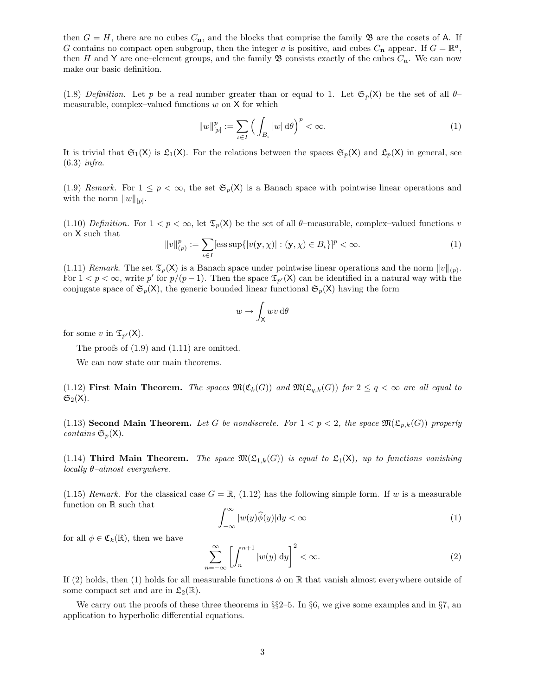then  $G = H$ , there are no cubes  $C_n$ , and the blocks that comprise the family  $\mathfrak{B}$  are the cosets of A. If G contains no compact open subgroup, then the integer a is positive, and cubes  $C_n$  appear. If  $G = \mathbb{R}^a$ , then H and Y are one–element groups, and the family  $\mathfrak B$  consists exactly of the cubes  $C_n$ . We can now make our basic definition.

(1.8) Definition. Let p be a real number greater than or equal to 1. Let  $\mathfrak{S}_p(\mathsf{X})$  be the set of all  $\theta$ measurable, complex–valued functions  $w$  on  $X$  for which

$$
||w||_{[p]}^p := \sum_{\iota \in I} \left( \int_{B_{\iota}} |w| \, d\theta \right)^p < \infty. \tag{1}
$$

It is trivial that  $\mathfrak{S}_1(\mathsf{X})$  is  $\mathfrak{L}_1(\mathsf{X})$ . For the relations between the spaces  $\mathfrak{S}_p(\mathsf{X})$  and  $\mathfrak{L}_p(\mathsf{X})$  in general, see (6.3) infra.

(1.9) Remark. For  $1 \leq p < \infty$ , the set  $\mathfrak{S}_p(\mathsf{X})$  is a Banach space with pointwise linear operations and with the norm  $||w||_{[p]}$ .

(1.10) Definition. For  $1 < p < \infty$ , let  $\mathfrak{T}_p(\mathsf{X})$  be the set of all  $\theta$ -measurable, complex-valued functions v on X such that

$$
||v||_{(p)}^p := \sum_{\iota \in I} [\text{ess sup}\{|v(\mathbf{y}, \chi)| : (\mathbf{y}, \chi) \in B_{\iota}\}]^p < \infty.
$$
 (1)

(1.11) Remark. The set  $\mathfrak{T}_p(\mathsf{X})$  is a Banach space under pointwise linear operations and the norm  $||v||_{(p)}$ . For  $1 < p < \infty$ , write p' for  $p/(p-1)$ . Then the space  $\mathfrak{T}_{p'}(\mathsf{X})$  can be identified in a natural way with the conjugate space of  $\mathfrak{S}_p(\mathsf{X})$ , the generic bounded linear functional  $\mathfrak{S}_p(\mathsf{X})$  having the form

$$
w\to \int_{\mathsf X} wv\,\mathrm{d} \theta
$$

for some v in  $\mathfrak{T}_{p'}(\mathsf{X})$ .

The proofs of (1.9) and (1.11) are omitted.

We can now state our main theorems.

(1.12) First Main Theorem. The spaces  $\mathfrak{M}(\mathfrak{C}_k(G))$  and  $\mathfrak{M}(\mathfrak{C}_{q,k}(G))$  for  $2 \leq q < \infty$  are all equal to  $\mathfrak{S}_2(X)$ .

(1.13) Second Main Theorem. Let G be nondiscrete. For  $1 < p < 2$ , the space  $\mathfrak{M}(\mathfrak{L}_{p,k}(G))$  properly contains  $\mathfrak{S}_p(\mathsf{X})$ .

(1.14) Third Main Theorem. The space  $\mathfrak{M}(\mathfrak{L}_{1,k}(G))$  is equal to  $\mathfrak{L}_1(X)$ , up to functions vanishing locally  $\theta$ -almost everywhere.

(1.15) Remark. For the classical case  $G = \mathbb{R}$ , (1.12) has the following simple form. If w is a measurable function on R such that

$$
\int_{-\infty}^{\infty} |w(y)\hat{\phi}(y)| \mathrm{d}y < \infty \tag{1}
$$

for all  $\phi \in \mathfrak{C}_k(\mathbb{R})$ , then we have

$$
\sum_{n=-\infty}^{\infty} \left[ \int_{n}^{n+1} |w(y)| \mathrm{d}y \right]^2 < \infty. \tag{2}
$$

If (2) holds, then (1) holds for all measurable functions  $\phi$  on  $\mathbb R$  that vanish almost everywhere outside of some compact set and are in  $\mathfrak{L}_2(\mathbb{R})$ .

We carry out the proofs of these three theorems in  $\S$ §2–5. In §6, we give some examples and in §7, an application to hyperbolic differential equations.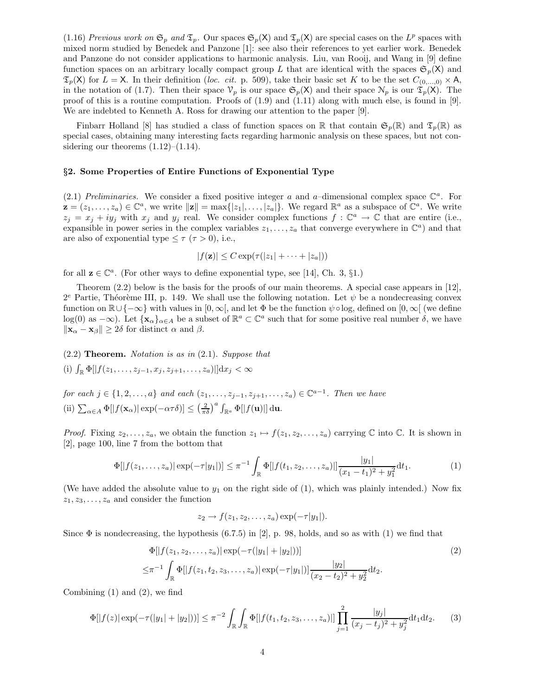(1.16) Previous work on  $\mathfrak{S}_p$  and  $\mathfrak{T}_p$ . Our spaces  $\mathfrak{S}_p(\mathsf{X})$  and  $\mathfrak{T}_p(\mathsf{X})$  are special cases on the  $L^p$  spaces with mixed norm studied by Benedek and Panzone [1]: see also their references to yet earlier work. Benedek and Panzone do not consider applications to harmonic analysis. Liu, van Rooij, and Wang in [9] define function spaces on an arbitrary locally compact group L that are identical with the spaces  $\mathfrak{S}_n(X)$  and  $\mathfrak{T}_p(\mathsf{X})$  for  $L = \mathsf{X}$ . In their definition (loc. cit. p. 509), take their basic set K to be the set  $C_{(0,\ldots,0)} \times \mathsf{A}$ , in the notation of (1.7). Then their space  $\mathcal{V}_p$  is our space  $\mathfrak{S}_p(\mathsf{X})$  and their space  $\mathcal{N}_p$  is our  $\mathfrak{T}_p(\mathsf{X})$ . The proof of this is a routine computation. Proofs of (1.9) and (1.11) along with much else, is found in [9]. We are indebted to Kenneth A. Ross for drawing our attention to the paper [9].

Finbarr Holland [8] has studied a class of function spaces on R that contain  $\mathfrak{S}_p(\mathbb{R})$  and  $\mathfrak{T}_p(\mathbb{R})$  as special cases, obtaining many interesting facts regarding harmonic analysis on these spaces, but not considering our theorems  $(1.12)$ – $(1.14)$ .

# §2. Some Properties of Entire Functions of Exponential Type

(2.1) Preliminaries. We consider a fixed positive integer a and a-dimensional complex space  $\mathbb{C}^a$ . For  $\mathbf{z} = (z_1, \ldots, z_a) \in \mathbb{C}^a$ , we write  $\|\mathbf{z}\| = \max\{|z_1|, \ldots, |z_a|\}$ . We regard  $\mathbb{R}^a$  as a subspace of  $\mathbb{C}^a$ . We write  $z_j = x_j + iy_j$  with  $x_j$  and  $y_j$  real. We consider complex functions  $f: \mathbb{C}^a \to \mathbb{C}$  that are entire (i.e., expansible in power series in the complex variables  $z_1, \ldots, z_a$  that converge everywhere in  $\mathbb{C}^a$ ) and that are also of exponential type  $\leq \tau$  ( $\tau > 0$ ), i.e.,

$$
|f(\mathbf{z})| \leq C \exp(\tau(|z_1| + \cdots + |z_a|))
$$

for all  $z \in \mathbb{C}^a$ . (For other ways to define exponential type, see [14], Ch. 3, §1.)

Theorem (2.2) below is the basis for the proofs of our main theorems. A special case appears in [12],  $2^e$  Partie, Théorème III, p. 149. We shall use the following notation. Let  $\psi$  be a nondecreasing convex function on  $\mathbb{R}\cup\{-\infty\}$  with values in  $[0,\infty[$ , and let  $\Phi$  be the function  $\psi \circ \log$ , defined on  $[0,\infty[$  (we define log(0) as  $-\infty$ ). Let  $\{x_\alpha\}_{\alpha \in A}$  be a subset of  $\mathbb{R}^a \subset \mathbb{C}^a$  such that for some positive real number  $\delta$ , we have  $\|\mathbf{x}_{\alpha} - \mathbf{x}_{\beta}\| \ge 2\delta$  for distinct  $\alpha$  and  $\beta$ .

 $(2.2)$  Theorem. Notation is as in  $(2.1)$ . Suppose that (i)  $\int_{\mathbb{R}} \Phi[|f(z_1,\ldots,z_{j-1},x_j,z_{j+1},\ldots,z_a)|] \mathrm{d}x_j < \infty$ 

for each  $j \in \{1, 2, ..., a\}$  and each  $(z_1, ..., z_{j-1}, z_{j+1}, ..., z_a) \in \mathbb{C}^{a-1}$ . Then we have (ii)  $\sum_{\alpha \in A} \Phi[|f(\mathbf{x}_{\alpha})| \exp(-\alpha \tau \delta)] \leq \left(\frac{2}{\pi \delta}\right)^a \int_{\mathbb{R}^a} \Phi[|f(\mathbf{u})|] d\mathbf{u}.$ 

*Proof.* Fixing  $z_2, \ldots, z_a$ , we obtain the function  $z_1 \mapsto f(z_1, z_2, \ldots, z_a)$  carrying  $\mathbb C$  into  $\mathbb C$ . It is shown in [2], page 100, line 7 from the bottom that

$$
\Phi[|f(z_1,\ldots,z_a)|\exp(-\tau|y_1|)] \leq \pi^{-1} \int_{\mathbb{R}} \Phi[|f(t_1,z_2,\ldots,z_a)|] \frac{|y_1|}{(x_1-t_1)^2 + y_1^2} dt_1.
$$
 (1)

(We have added the absolute value to  $y_1$  on the right side of (1), which was plainly intended.) Now fix  $z_1, z_3, \ldots, z_a$  and consider the function

$$
z_2 \to f(z_1, z_2, \ldots, z_a) \exp(-\tau |y_1|).
$$

Since  $\Phi$  is nondecreasing, the hypothesis (6.7.5) in [2], p. 98, holds, and so as with (1) we find that

$$
\Phi[|f(z_1, z_2, \dots, z_a)| \exp(-\tau(|y_1| + |y_2|))]
$$
\n
$$
\leq \pi^{-1} \int_{\mathbb{R}} \Phi[|f(z_1, t_2, z_3, \dots, z_a)| \exp(-\tau|y_1|)] \frac{|y_2|}{(x_2 - t_2)^2 + y_2^2} dt_2.
$$
\n(2)

Combining  $(1)$  and  $(2)$ , we find

$$
\Phi[|f(z)|\exp(-\tau(|y_1|+|y_2|))] \le \pi^{-2} \int_{\mathbb{R}} \int_{\mathbb{R}} \Phi[|f(t_1, t_2, z_3, \dots, z_a)|] \prod_{j=1}^2 \frac{|y_j|}{(x_j - t_j)^2 + y_j^2} dt_1 dt_2.
$$
 (3)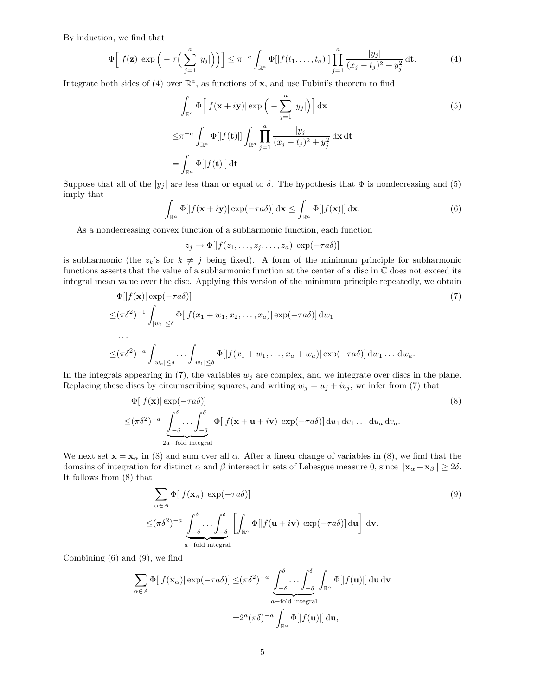By induction, we find that

$$
\Phi\left[|f(\mathbf{z})|\exp\left(-\tau\left(\sum_{j=1}^a |y_j|\right)\right)\right] \leq \pi^{-a} \int_{\mathbb{R}^a} \Phi[|f(t_1,\ldots,t_a)|] \prod_{j=1}^a \frac{|y_j|}{(x_j-t_j)^2 + y_j^2} \mathrm{d}t. \tag{4}
$$

Integrate both sides of (4) over  $\mathbb{R}^a$ , as functions of **x**, and use Fubini's theorem to find

$$
\int_{\mathbb{R}^a} \Phi\left[ |f(\mathbf{x} + i\mathbf{y})| \exp\left( -\sum_{j=1}^a |y_j| \right) \right] d\mathbf{x}
$$
\n
$$
\leq \pi^{-a} \int_{\mathbb{R}^a} \Phi[|f(\mathbf{t})|] \int_{\mathbb{R}^a} \prod_{j=1}^a \frac{|y_j|}{(x_j - t_j)^2 + y_j^2} d\mathbf{x} d\mathbf{t}
$$
\n
$$
= \int_{\mathbb{R}^a} \Phi[|f(\mathbf{t})|] d\mathbf{t}
$$
\n(5)

Suppose that all of the  $|y_j|$  are less than or equal to  $\delta$ . The hypothesis that  $\Phi$  is nondecreasing and (5) imply that

$$
\int_{\mathbb{R}^a} \Phi[|f(\mathbf{x} + i\mathbf{y})| \exp(-\tau a\delta)] \, \mathrm{d}\mathbf{x} \le \int_{\mathbb{R}^a} \Phi[|f(\mathbf{x})|] \, \mathrm{d}\mathbf{x}.\tag{6}
$$

As a nondecreasing convex function of a subharmonic function, each function

$$
z_j \to \Phi[|f(z_1,\ldots,z_j,\ldots,z_a)| \exp(-\tau a\delta)]
$$

is subharmonic (the  $z_k$ 's for  $k \neq j$  being fixed). A form of the minimum principle for subharmonic functions asserts that the value of a subharmonic function at the center of a disc in  $\mathbb C$  does not exceed its integral mean value over the disc. Applying this version of the minimum principle repeatedly, we obtain

$$
\Phi[|f(\mathbf{x})| \exp(-\tau a\delta)]
$$
\n
$$
\leq (\pi \delta^2)^{-1} \int_{|w_1| \leq \delta} \Phi[|f(x_1 + w_1, x_2, \dots, x_a)| \exp(-\tau a\delta)] dw_1
$$
\n
$$
\dots
$$
\n
$$
\leq (\pi \delta^2)^{-a} \int_{|w_a| \leq \delta} \dots \int_{|w_1| \leq \delta} \Phi[|f(x_1 + w_1, \dots, x_a + w_a)| \exp(-\tau a\delta)] dw_1 \dots dw_a.
$$
\n(7)

In the integrals appearing in (7), the variables  $w_j$  are complex, and we integrate over discs in the plane. Replacing these discs by circumscribing squares, and writing  $w_j = u_j + iv_j$ , we infer from (7) that

$$
\Phi[|f(\mathbf{x})| \exp(-\tau a\delta)]
$$
\n
$$
\leq (\pi \delta^2)^{-a} \underbrace{\int_{-\delta}^{\delta} \cdots \int_{-\delta}^{\delta}}_{2a-fold integral} \Phi[|f(\mathbf{x} + \mathbf{u} + i\mathbf{v})| \exp(-\tau a\delta)] du_1 du_1 \dots du_a du_a.
$$
\n(8)

We next set  $\mathbf{x} = \mathbf{x}_{\alpha}$  in (8) and sum over all  $\alpha$ . After a linear change of variables in (8), we find that the domains of integration for distinct  $\alpha$  and  $\beta$  intersect in sets of Lebesgue measure 0, since  $\|\mathbf{x}_{\alpha} - \mathbf{x}_{\beta}\| \geq 2\delta$ . It follows from (8) that

$$
\sum_{\alpha \in A} \Phi[|f(\mathbf{x}_{\alpha})| \exp(-\tau a \delta)]
$$
\n
$$
\leq (\pi \delta^{2})^{-a} \underbrace{\int_{-\delta}^{\delta} \dots \int_{-\delta}^{\delta}}_{a-\text{fold integral}} \left[ \int_{\mathbb{R}^{a}} \Phi[|f(\mathbf{u}+i\mathbf{v})| \exp(-\tau a \delta)] \, \mathrm{d}\mathbf{u} \right] \, \mathrm{d}\mathbf{v}.
$$
\n(9)

Combining (6) and (9), we find

$$
\sum_{\alpha \in A} \Phi[|f(\mathbf{x}_{\alpha})| \exp(-\tau a\delta)] \leq (\pi \delta^2)^{-a} \underbrace{\int_{-\delta}^{\delta} \dots \int_{-\delta}^{\delta}}_{a-\text{fold integral}} \int_{\mathbb{R}^a} \Phi[|f(\mathbf{u})|] \, \mathrm{d}\mathbf{u} \, \mathrm{d}\mathbf{v}
$$

$$
= 2^a (\pi \delta)^{-a} \int_{\mathbb{R}^a} \Phi[|f(\mathbf{u})|] \, \mathrm{d}\mathbf{u},
$$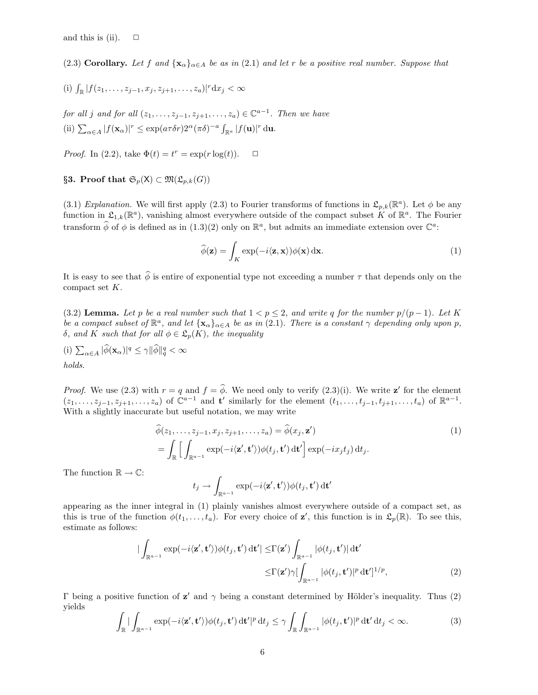(2.3) Corollary. Let f and  $\{x_\alpha\}_{\alpha \in A}$  be as in (2.1) and let r be a positive real number. Suppose that

(i) 
$$
\int_{\mathbb{R}} |f(z_1, \ldots, z_{j-1}, x_j, z_{j+1}, \ldots, z_a)|^r dx_j < \infty
$$

for all j and for all  $(z_1, \ldots, z_{j-1}, z_{j+1}, \ldots, z_a) \in \mathbb{C}^{a-1}$ . Then we have (ii)  $\sum_{\alpha \in A} |f(\mathbf{x}_{\alpha})|^r \leq \exp(a\tau \delta r) 2^{\alpha} (\pi \delta)^{-a} \int_{\mathbb{R}^a} |f(\mathbf{u})|^r d\mathbf{u}.$ 

*Proof.* In (2.2), take  $\Phi(t) = t^r = \exp(r \log(t))$ .  $\Box$ 

§3. Proof that  $\mathfrak{S}_p(\mathsf{X}) \subset \mathfrak{M}(\mathfrak{L}_{p,k}(G))$ 

(3.1) Explanation. We will first apply (2.3) to Fourier transforms of functions in  $\mathfrak{L}_{p,k}(\mathbb{R}^a)$ . Let  $\phi$  be any function in  $\mathfrak{L}_{1,k}(\mathbb{R}^a)$ , vanishing almost everywhere outside of the compact subset K of  $\mathbb{R}^a$ . The Fourier transform  $\hat{\phi}$  of  $\phi$  is defined as in  $(1.3)(2)$  only on  $\mathbb{R}^a$ , but admits an immediate extension over  $\mathbb{C}^a$ :

$$
\widehat{\phi}(\mathbf{z}) = \int_K \exp(-i\langle \mathbf{z}, \mathbf{x} \rangle) \phi(\mathbf{x}) \, \mathrm{d}\mathbf{x}.\tag{1}
$$

It is easy to see that  $\hat{\phi}$  is entire of exponential type not exceeding a number  $\tau$  that depends only on the compact set K.

(3.2) Lemma. Let p be a real number such that  $1 < p \le 2$ , and write q for the number  $p/(p-1)$ . Let K be a compact subset of  $\mathbb{R}^a$ , and let  $\{x_\alpha\}_{\alpha\in A}$  be as in (2.1). There is a constant  $\gamma$  depending only upon p, δ, and K such that for all  $φ ∈ \mathfrak{L}_p(K)$ , the inequality

(i)  $\sum_{\alpha \in A} |\widehat{\phi}(\mathbf{x}_{\alpha})|^q \leq \gamma ||\widehat{\phi}||_q^q < \infty$ holds.

*Proof.* We use (2.3) with  $r = q$  and  $f = \phi$ . We need only to verify (2.3)(i). We write z' for the element  $(z_1,\ldots,z_{j-1},z_{j+1},\ldots,z_a)$  of  $\mathbb{C}^{a-1}$  and t' similarly for the element  $(t_1,\ldots,t_{j-1},t_{j+1},\ldots,t_a)$  of  $\mathbb{R}^{a-1}$ . With a slightly inaccurate but useful notation, we may write

$$
\widehat{\phi}(z_1, \dots, z_{j-1}, x_j, z_{j+1}, \dots, z_a) = \widehat{\phi}(x_j, \mathbf{z}')
$$
\n
$$
= \int_{\mathbb{R}} \Big[ \int_{\mathbb{R}^{a-1}} \exp(-i \langle \mathbf{z}', \mathbf{t}' \rangle) \phi(t_j, \mathbf{t}') \, d\mathbf{t}' \Big] \exp(-ix_j t_j) \, dt_j.
$$
\n(1)

The function  $\mathbb{R} \to \mathbb{C}$ :

$$
t_j \to \int_{\mathbb{R}^{a-1}} \exp(-i\langle \mathbf{z}', \mathbf{t}' \rangle) \phi(t_j, \mathbf{t}') \, \mathrm{d}\mathbf{t}'
$$

appearing as the inner integral in (1) plainly vanishes almost everywhere outside of a compact set, as this is true of the function  $\phi(t_1,\ldots,t_a)$ . For every choice of **z'**, this function is in  $\mathfrak{L}_p(\mathbb{R})$ . To see this, estimate as follows:

$$
\begin{split} \left| \int_{\mathbb{R}^{a-1}} \exp(-i \langle \mathbf{z}', \mathbf{t}' \rangle) \phi(t_j, \mathbf{t}') \, d\mathbf{t}' \right| &\leq & \Gamma(\mathbf{z}') \int_{\mathbb{R}^{a-1}} |\phi(t_j, \mathbf{t}')| \, d\mathbf{t}' \\ &\leq & \Gamma(\mathbf{z}') \gamma [\int_{\mathbb{R}^{a-1}} |\phi(t_j, \mathbf{t}')|^p \, d\mathbf{t}']^{1/p}, \end{split} \tag{2}
$$

Γ being a positive function of  $z'$  and  $\gamma$  being a constant determined by Hölder's inequality. Thus (2) yields

$$
\int_{\mathbb{R}} |\int_{\mathbb{R}^{a-1}} \exp(-i\langle \mathbf{z}', \mathbf{t}' \rangle) \phi(t_j, \mathbf{t}') dt'|^p dt_j \leq \gamma \int_{\mathbb{R}} \int_{\mathbb{R}^{a-1}} |\phi(t_j, \mathbf{t}')|^p dt' dt_j < \infty.
$$
 (3)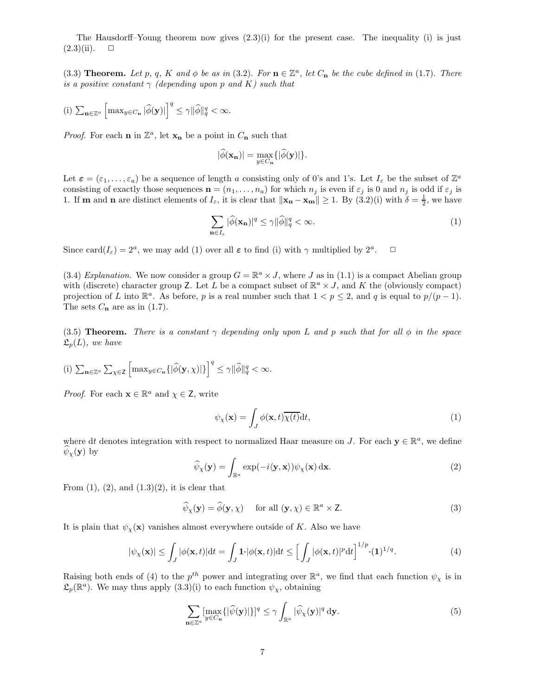The Hausdorff–Young theorem now gives  $(2.3)(i)$  for the present case. The inequality (i) is just  $(2.3)(ii)$ .  $\Box$ 

(3.3) **Theorem.** Let p, q, K and  $\phi$  be as in (3.2). For  $\mathbf{n} \in \mathbb{Z}^a$ , let  $C_{\mathbf{n}}$  be the cube defined in (1.7). There is a positive constant  $\gamma$  (depending upon p and K) such that

(i) 
$$
\sum_{\mathbf{n}\in\mathbb{Z}^a} \left[ \max_{y \in C_{\mathbf{n}}} |\widehat{\phi}(\mathbf{y})| \right]^q \le \gamma ||\widehat{\phi}||_q^q < \infty.
$$

*Proof.* For each **n** in  $\mathbb{Z}^a$ , let  $\mathbf{x}_n$  be a point in  $C_n$  such that

$$
|\widehat{\phi}(\mathbf{x_n})| = \max_{y \in C_{\mathbf{n}}} \{ |\widehat{\phi}(\mathbf{y})| \}.
$$

Let  $\boldsymbol{\varepsilon} = (\varepsilon_1, \ldots, \varepsilon_a)$  be a sequence of length a consisting only of 0's and 1's. Let  $I_{\varepsilon}$  be the subset of  $\mathbb{Z}^a$ consisting of exactly those sequences  $\mathbf{n} = (n_1, \ldots, n_a)$  for which  $n_j$  is even if  $\varepsilon_j$  is 0 and  $n_j$  is odd if  $\varepsilon_j$  is 1. If **m** and **n** are distinct elements of  $I_{\varepsilon}$ , it is clear that  $\|\mathbf{x_n} - \mathbf{x_m}\| \geq 1$ . By  $(3.2)(i)$  with  $\delta = \frac{1}{2}$ , we have

$$
\sum_{\mathbf{n}\in I_{\varepsilon}} |\widehat{\phi}(\mathbf{x}_{\mathbf{n}})|^q \le \gamma ||\widehat{\phi}||_q^q < \infty.
$$
 (1)

Since card $(I_{\varepsilon}) = 2^a$ , we may add (1) over all  $\varepsilon$  to find (i) with  $\gamma$  multiplied by  $2^a$  $\Box$ 

(3.4) Explanation. We now consider a group  $G = \mathbb{R}^a \times J$ , where J as in (1.1) is a compact Abelian group with (discrete) character group Z. Let L be a compact subset of  $\mathbb{R}^a \times J$ , and K the (obviously compact) projection of L into  $\mathbb{R}^a$ . As before, p is a real number such that  $1 < p \leq 2$ , and q is equal to  $p/(p-1)$ . The sets  $C_n$  are as in (1.7).

(3.5) Theorem. There is a constant  $\gamma$  depending only upon L and p such that for all  $\phi$  in the space  $\mathfrak{L}_p(L)$ , we have

(i) 
$$
\sum_{\mathbf{n}\in\mathbb{Z}^a}\sum_{\chi\in\mathsf{Z}}\left[\max_{y\in C_{\mathbf{n}}}\left\{\left|\widehat{\phi}(\mathbf{y},\chi)\right|\right\}\right]^q \leq \gamma \|\widehat{\phi}\|_q^q < \infty.
$$

*Proof.* For each  $\mathbf{x} \in \mathbb{R}^a$  and  $\chi \in \mathbf{Z}$ , write

$$
\psi_{\chi}(\mathbf{x}) = \int_{J} \phi(\mathbf{x}, t) \overline{\chi(t)} dt,
$$
\n(1)

where dt denotes integration with respect to normalized Haar measure on J. For each  $y \in \mathbb{R}^a$ , we define  $\psi_{\chi}(\mathbf{y})$  by

$$
\widehat{\psi}_{\chi}(\mathbf{y}) = \int_{\mathbb{R}^a} \exp(-i\langle \mathbf{y}, \mathbf{x} \rangle) \psi_{\chi}(\mathbf{x}) \, \mathrm{d}\mathbf{x}.\tag{2}
$$

From  $(1)$ ,  $(2)$ , and  $(1.3)(2)$ , it is clear that

$$
\widehat{\psi}_{\chi}(\mathbf{y}) = \widehat{\phi}(\mathbf{y}, \chi) \quad \text{for all } (\mathbf{y}, \chi) \in \mathbb{R}^a \times \mathbf{Z}.
$$
 (3)

It is plain that  $\psi_{\chi}(\mathbf{x})$  vanishes almost everywhere outside of K. Also we have

$$
|\psi_{\mathbf{x}}(\mathbf{x})| \le \int_{J} |\phi(\mathbf{x}, t)| dt = \int_{J} \mathbf{1} \cdot |\phi(\mathbf{x}, t)| dt \le \left[ \int_{J} |\phi(\mathbf{x}, t)|^{p} dt \right]^{1/p} \cdot (\mathbf{1})^{1/q}.
$$
 (4)

Raising both ends of (4) to the  $p^{th}$  power and integrating over  $\mathbb{R}^a$ , we find that each function  $\psi_\chi$  is in  $\mathfrak{L}_p(\mathbb{R}^a)$ . We may thus apply  $(3.3)(i)$  to each function  $\psi_{\chi}$ , obtaining

$$
\sum_{\mathbf{n}\in\mathbb{Z}^a} \left[\max_{y\in C_{\mathbf{n}}} \{|\widehat{\psi}(\mathbf{y})|\}\right]^q \le \gamma \int_{\mathbb{R}^a} |\widehat{\psi}_{\chi}(\mathbf{y})|^q \, \mathrm{d}\mathbf{y}.\tag{5}
$$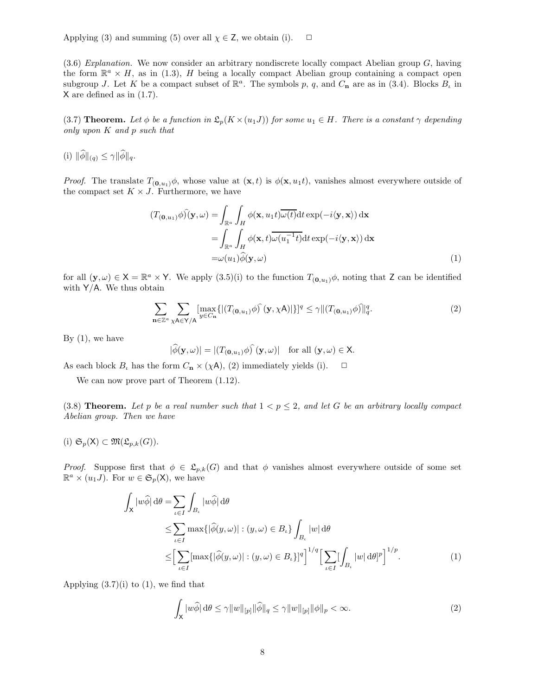Applying (3) and summing (5) over all  $\chi \in \mathsf{Z}$ , we obtain (i).  $\Box$ 

 $(3.6)$  Explanation. We now consider an arbitrary nondiscrete locally compact Abelian group G, having the form  $\mathbb{R}^a \times H$ , as in (1.3), H being a locally compact Abelian group containing a compact open subgroup J. Let K be a compact subset of  $\mathbb{R}^a$ . The symbols p, q, and  $C_n$  are as in (3.4). Blocks  $B_\iota$  in X are defined as in (1.7).

(3.7) **Theorem.** Let  $\phi$  be a function in  $\mathfrak{L}_p(K \times (u_1J))$  for some  $u_1 \in H$ . There is a constant  $\gamma$  depending only upon K and p such that

(i)  $\|\widehat{\phi}\|_{(q)} \leq \gamma \|\widehat{\phi}\|_{q}$ .

*Proof.* The translate  $T_{(0,u_1)}\phi$ , whose value at  $(\mathbf{x},t)$  is  $\phi(\mathbf{x},u_1t)$ , vanishes almost everywhere outside of the compact set  $K \times J$ . Furthermore, we have

$$
(T_{(\mathbf{0},u_1)}\phi)(\mathbf{y},\omega) = \int_{\mathbb{R}^a} \int_H \phi(\mathbf{x},u_1t)\overline{\omega(t)}dt \exp(-i\langle \mathbf{y}, \mathbf{x}\rangle) d\mathbf{x}
$$
  
= 
$$
\int_{\mathbb{R}^a} \int_H \phi(\mathbf{x},t)\overline{\omega(u_1^{-1}t)}dt \exp(-i\langle \mathbf{y}, \mathbf{x}\rangle) d\mathbf{x}
$$
  
= 
$$
\omega(u_1)\widehat{\phi}(\mathbf{y},\omega)
$$
 (1)

for all  $(\mathbf{y}, \omega) \in \mathsf{X} = \mathbb{R}^a \times \mathsf{Y}$ . We apply  $(3.5)(i)$  to the function  $T_{(\mathbf{0},u_1)}\phi$ , noting that Z can be identified with  $Y/A$ . We thus obtain

$$
\sum_{\mathbf{n}\in\mathbb{Z}^a}\sum_{\chi\mathbf{A}\in\mathsf{Y}/\mathsf{A}}[\max_{y\in C_{\mathbf{n}}} \{ |(T_{(\mathbf{0},u_1)}\phi)\hat{)}(\mathbf{y},\chi\mathbf{A})|\}]^q \leq \gamma ||(T_{(\mathbf{0},u_1)}\phi)\hat{)}\|_q^q.
$$
 (2)

By  $(1)$ , we have

$$
|\widehat{\phi}(\mathbf{y},\omega)| = |(T_{(\mathbf{0},u_1)}\phi) \widehat{\ }(\mathbf{y},\omega)| \quad \text{for all } (\mathbf{y},\omega) \in \mathsf{X}.
$$

As each block  $B_t$  has the form  $C_n \times (\chi \mathsf{A})$ , (2) immediately yields (i).  $\Box$ 

We can now prove part of Theorem (1.12).

(3.8) Theorem. Let p be a real number such that  $1 < p \leq 2$ , and let G be an arbitrary locally compact Abelian group. Then we have

(i)  $\mathfrak{S}_p(\mathsf{X}) \subset \mathfrak{M}(\mathfrak{L}_{p,k}(G)).$ 

*Proof.* Suppose first that  $\phi \in \mathcal{L}_{p,k}(G)$  and that  $\phi$  vanishes almost everywhere outside of some set  $\mathbb{R}^a \times (u_1 J)$ . For  $w \in \mathfrak{S}_p(\mathsf{X})$ , we have

$$
\int_{\mathsf{X}} |w\widehat{\phi}| d\theta = \sum_{\iota \in I} \int_{B_{\iota}} |w\widehat{\phi}| d\theta
$$
\n
$$
\leq \sum_{\iota \in I} \max\{|\widehat{\phi}(y,\omega)| : (y,\omega) \in B_{\iota}\} \int_{B_{\iota}} |w| d\theta
$$
\n
$$
\leq \left[ \sum_{\iota \in I} [\max\{|\widehat{\phi}(y,\omega)| : (y,\omega) \in B_{\iota}\}]^{q} \right]^{1/q} \left[ \sum_{\iota \in I} [\int_{B_{\iota}} |w| d\theta]^{p} \right]^{1/p}.
$$
\n(1)

Applying  $(3.7)(i)$  to  $(1)$ , we find that

$$
\int_{\mathsf{X}} |w\widehat{\phi}| \, \mathrm{d}\theta \le \gamma \|w\|_{[p]} \|\widehat{\phi}\|_{q} \le \gamma \|w\|_{[p]} \|\phi\|_{p} < \infty. \tag{2}
$$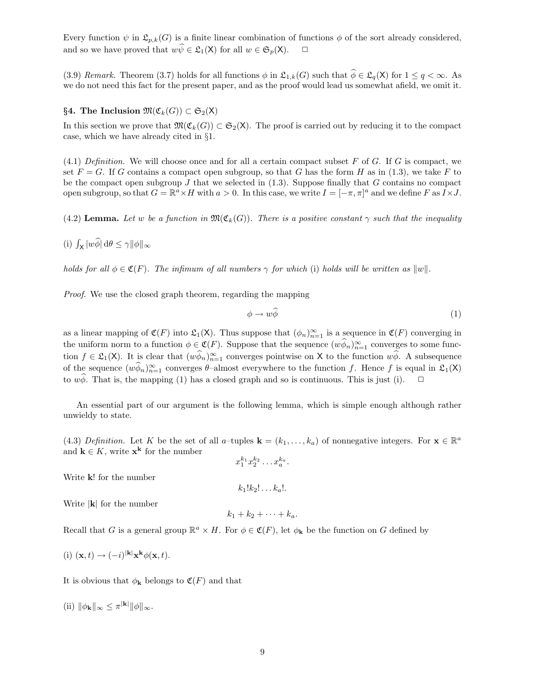Every function  $\psi$  in  $\mathfrak{L}_{p,k}(G)$  is a finite linear combination of functions  $\phi$  of the sort already considered, and so we have proved that  $w\widehat{\psi} \in \mathfrak{L}_1(\mathsf{X})$  for all  $w \in \mathfrak{S}_p(\mathsf{X})$ .  $\Box$ 

(3.9) Remark. Theorem (3.7) holds for all functions  $\phi$  in  $\mathfrak{L}_{1,k}(G)$  such that  $\widehat{\phi} \in \mathfrak{L}_q(\mathsf{X})$  for  $1 \leq q < \infty$ . As we do not need this fact for the present paper, and as the proof would lead us somewhat afield, we omit it.

§4. The Inclusion  $\mathfrak{M}(\mathfrak{C}_k(G)) \subset \mathfrak{S}_2(\mathsf{X})$ 

In this section we prove that  $\mathfrak{M}(\mathfrak{C}_k(G)) \subset \mathfrak{S}_2(\mathsf{X})$ . The proof is carried out by reducing it to the compact case, which we have already cited in §1.

 $(4.1)$  Definition. We will choose once and for all a certain compact subset F of G. If G is compact, we set  $F = G$ . If G contains a compact open subgroup, so that G has the form H as in (1.3), we take F to be the compact open subgroup  $J$  that we selected in (1.3). Suppose finally that  $G$  contains no compact open subgroup, so that  $G = \mathbb{R}^a \times H$  with  $a > 0$ . In this case, we write  $I = [-\pi, \pi]^a$  and we define F as  $I \times J$ .

(4.2) Lemma. Let w be a function in  $\mathfrak{M}(\mathfrak{C}_k(G))$ . There is a positive constant  $\gamma$  such that the inequality

(i)  $\int_{\mathsf{X}} |w \widehat{\phi}| d\theta \leq \gamma ||\phi||_{\infty}$ 

holds for all  $\phi \in \mathfrak{C}(F)$ . The infimum of all numbers  $\gamma$  for which (i) holds will be written as  $||w||$ .

Proof. We use the closed graph theorem, regarding the mapping

$$
\phi \to w\widehat{\phi} \tag{1}
$$

as a linear mapping of  $\mathfrak{C}(F)$  into  $\mathfrak{L}_1(\mathsf{X})$ . Thus suppose that  $(\phi_n)_{n=1}^{\infty}$  is a sequence in  $\mathfrak{C}(F)$  converging in the uniform norm to a function  $\phi \in \mathfrak{C}(F)$ . Suppose that the sequence  $(w\phi_n)_{n=1}^{\infty}$  converges to some function  $f \in \mathfrak{L}_1(\mathsf{X})$ . It is clear that  $(w \phi_n)_{n=1}^{\infty}$  converges pointwise on X to the function  $w \widetilde{\phi}$ . A subsequence of the sequence  $(w\hat{\phi}_n)_{n=1}^{\infty}$  converges  $\theta$ -almost everywhere to the function f. Hence f is equal in  $\mathfrak{L}_1(\mathsf{X})$ to  $w\phi$ . That is, the mapping (1) has a closed graph and so is continuous. This is just (i).

An essential part of our argument is the following lemma, which is simple enough although rather unwieldy to state.

(4.3) Definition. Let K be the set of all a-tuples  $\mathbf{k} = (k_1, \ldots, k_a)$  of nonnegative integers. For  $\mathbf{x} \in \mathbb{R}^a$ and  $\mathbf{k} \in K$ , write  $\mathbf{x}^{\mathbf{k}}$  for the number

Write **k**! for the number

Write  $|\mathbf{k}|$  for the number

 $k_1 + k_2 + \cdots + k_a$ .

 $k_1!k_2! \ldots k_a!$ .

Recall that G is a general group  $\mathbb{R}^a \times H$ . For  $\phi \in \mathfrak{C}(F)$ , let  $\phi_{\mathbf{k}}$  be the function on G defined by

(i) 
$$
(\mathbf{x}, t) \rightarrow (-i)^{|\mathbf{k}|} \mathbf{x}^{\mathbf{k}} \phi(\mathbf{x}, t).
$$

It is obvious that  $\phi_{\mathbf{k}}$  belongs to  $\mathfrak{C}(F)$  and that

(ii)  $\|\phi_{\mathbf{k}}\|_{\infty} \leq \pi^{|\mathbf{k}|} \|\phi\|_{\infty}$ .

$$
x_1^{k_1}x_2^{k_2}\ldots x_a^{k_a}.
$$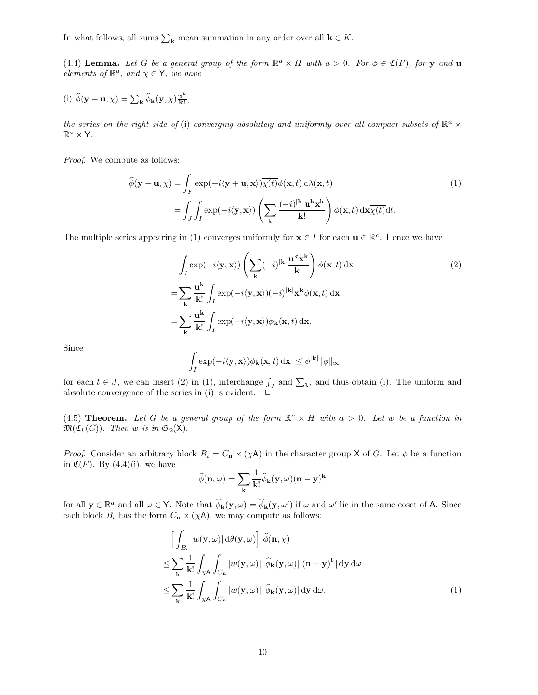In what follows, all sums  $\sum_{\mathbf{k}}$  mean summation in any order over all  $\mathbf{k} \in K$ .

(4.4) Lemma. Let G be a general group of the form  $\mathbb{R}^a \times H$  with  $a > 0$ . For  $\phi \in \mathfrak{C}(F)$ , for y and u elements of  $\mathbb{R}^a$ , and  $\chi \in \mathsf{Y}$ , we have

(i) 
$$
\widehat{\phi}(\mathbf{y} + \mathbf{u}, \chi) = \sum_{\mathbf{k}} \widehat{\phi}_{\mathbf{k}}(\mathbf{y}, \chi) \frac{\mathbf{u}^{\mathbf{k}}}{\mathbf{k}!},
$$

the series on the right side of (i) converging absolutely and uniformly over all compact subsets of  $\mathbb{R}^a$   $\times$  $\mathbb{R}^a \times \mathsf{Y}.$ 

Proof. We compute as follows:

$$
\widehat{\phi}(\mathbf{y} + \mathbf{u}, \chi) = \int_{F} \exp(-i\langle \mathbf{y} + \mathbf{u}, \mathbf{x} \rangle) \overline{\chi(t)} \phi(\mathbf{x}, t) d\lambda(\mathbf{x}, t)
$$
\n
$$
= \int_{J} \int_{I} \exp(-i\langle \mathbf{y}, \mathbf{x} \rangle) \left( \sum_{\mathbf{k}} \frac{(-i)^{|\mathbf{k}|} \mathbf{u}^{\mathbf{k}} \mathbf{x}^{\mathbf{k}}}{\mathbf{k}!} \right) \phi(\mathbf{x}, t) d\mathbf{x} \overline{\chi(t)} dt.
$$
\n(1)

The multiple series appearing in (1) converges uniformly for  $\mathbf{x} \in I$  for each  $\mathbf{u} \in \mathbb{R}^a$ . Hence we have

$$
\int_{I} \exp(-i\langle \mathbf{y}, \mathbf{x} \rangle) \left( \sum_{\mathbf{k}} (-i)^{|\mathbf{k}|} \frac{\mathbf{u}^{\mathbf{k}} \mathbf{x}^{\mathbf{k}}}{\mathbf{k}!} \right) \phi(\mathbf{x}, t) d\mathbf{x} \n= \sum_{\mathbf{k}} \frac{\mathbf{u}^{\mathbf{k}}}{\mathbf{k}!} \int_{I} \exp(-i\langle \mathbf{y}, \mathbf{x} \rangle) (-i)^{|\mathbf{k}|} \mathbf{x}^{\mathbf{k}} \phi(\mathbf{x}, t) d\mathbf{x} \n= \sum_{\mathbf{k}} \frac{\mathbf{u}^{\mathbf{k}}}{\mathbf{k}!} \int_{I} \exp(-i\langle \mathbf{y}, \mathbf{x} \rangle) \phi_{\mathbf{k}}(\mathbf{x}, t) d\mathbf{x}.
$$
\n(2)

Since

$$
|\int_I \exp(-i\langle \mathbf{y}, \mathbf{x}\rangle) \phi_{\mathbf{k}}(\mathbf{x}, t) \, \mathrm{d}\mathbf{x}| \leq \phi^{|\mathbf{k}|} ||\phi||_{\infty}
$$

for each  $t \in J$ , we can insert (2) in (1), interchange  $\int_J$  and  $\sum_{\mathbf{k}}$ , and thus obtain (i). The uniform and absolute convergence of the series in (i) is evident.  $\Box$ 

(4.5) **Theorem.** Let G be a general group of the form  $\mathbb{R}^a \times H$  with  $a > 0$ . Let w be a function in  $\mathfrak{M}(\mathfrak{C}_k(G))$ . Then w is in  $\mathfrak{S}_2(\mathsf{X})$ .

*Proof.* Consider an arbitrary block  $B_i = C_n \times (\chi \mathsf{A})$  in the character group X of G. Let  $\phi$  be a function in  $\mathfrak{C}(F)$ . By  $(4.4)(i)$ , we have

$$
\widehat{\phi}(\mathbf{n},\omega) = \sum_{\mathbf{k}} \frac{1}{\mathbf{k}!} \widehat{\phi}_{\mathbf{k}}(\mathbf{y},\omega) (\mathbf{n} - \mathbf{y})^{\mathbf{k}}
$$

for all  $\mathbf{y} \in \mathbb{R}^a$  and all  $\omega \in \mathsf{Y}$ . Note that  $\widehat{\phi}_{\mathbf{k}}(\mathbf{y}, \omega) = \widehat{\phi}_{\mathbf{k}}(\mathbf{y}, \omega')$  if  $\omega$  and  $\omega'$  lie in the same coset of A. Since each block  $B_t$  has the form  $C_n \times (\chi A)$ , we may compute as follows:

$$
\begin{split}\n&\left[\int_{B_{\iota}} |w(\mathbf{y}, \omega)| d\theta(\mathbf{y}, \omega)\right] |\widehat{\phi}(\mathbf{n}, \chi)| \\
&\leq \sum_{\mathbf{k}} \frac{1}{\mathbf{k}!} \int_{\chi \mathbf{A}} \int_{C_{\mathbf{n}}} |w(\mathbf{y}, \omega)| |\widehat{\phi}_{\mathbf{k}}(\mathbf{y}, \omega)| |(\mathbf{n} - \mathbf{y})^{\mathbf{k}}| d\mathbf{y} d\omega \\
&\leq \sum_{\mathbf{k}} \frac{1}{\mathbf{k}!} \int_{\chi \mathbf{A}} \int_{C_{\mathbf{n}}} |w(\mathbf{y}, \omega)| |\widehat{\phi}_{\mathbf{k}}(\mathbf{y}, \omega)| d\mathbf{y} d\omega.\n\end{split} \tag{1}
$$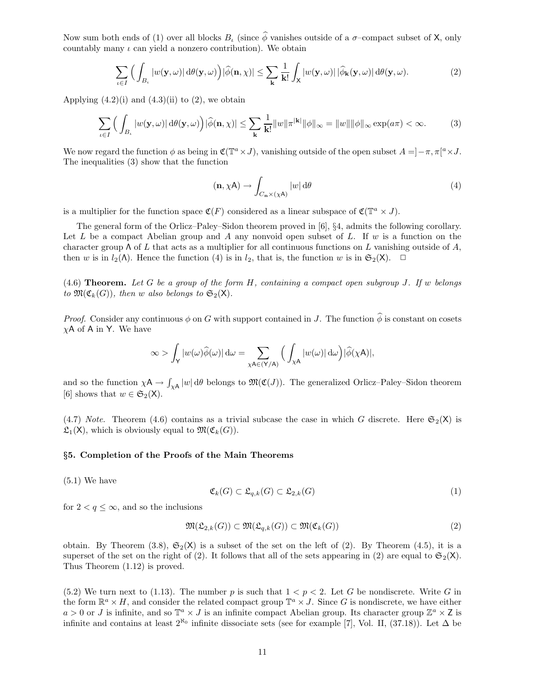Now sum both ends of (1) over all blocks B, (since  $\hat{\phi}$  vanishes outside of a  $\sigma$ –compact subset of X, only countably many  $\iota$  can yield a nonzero contribution). We obtain

$$
\sum_{\iota \in I} \Big( \int_{B_{\iota}} |w(\mathbf{y}, \omega)| d\theta(\mathbf{y}, \omega) \Big) |\widehat{\phi}(\mathbf{n}, \chi)| \leq \sum_{\mathbf{k}} \frac{1}{\mathbf{k}!} \int_{\mathsf{X}} |w(\mathbf{y}, \omega)| |\widehat{\phi}_{\mathbf{k}}(\mathbf{y}, \omega)| d\theta(\mathbf{y}, \omega).
$$
 (2)

Applying  $(4.2)(i)$  and  $(4.3)(ii)$  to  $(2)$ , we obtain

$$
\sum_{\iota \in I} \Big( \int_{B_{\iota}} |w(\mathbf{y}, \omega)| d\theta(\mathbf{y}, \omega) \Big) |\widehat{\phi}(\mathbf{n}, \chi)| \leq \sum_{\mathbf{k}} \frac{1}{\mathbf{k}!} \|w\| \pi^{|\mathbf{k}|} \|\phi\|_{\infty} = \|w\| \|\phi\|_{\infty} \exp(a\pi) < \infty. \tag{3}
$$

We now regard the function  $\phi$  as being in  $\mathfrak{C}(\mathbb{T}^a \times J)$ , vanishing outside of the open subset  $A = ]-\pi, \pi[^a \times J]$ . The inequalities (3) show that the function

$$
(\mathbf{n}, \chi \mathbf{A}) \to \int_{C_{\mathbf{n}} \times (\chi \mathbf{A})} |w| \, \mathrm{d}\theta \tag{4}
$$

is a multiplier for the function space  $\mathfrak{C}(F)$  considered as a linear subspace of  $\mathfrak{C}(\mathbb{T}^a \times J)$ .

The general form of the Orlicz–Paley–Sidon theorem proved in [6], §4, admits the following corollary. Let L be a compact Abelian group and A any nonvoid open subset of L. If  $w$  is a function on the character group  $\Lambda$  of L that acts as a multiplier for all continuous functions on L vanishing outside of A, then w is in  $l_2(\Lambda)$ . Hence the function (4) is in  $l_2$ , that is, the function w is in  $\mathfrak{S}_2(\mathsf{X})$ .  $\Box$ 

 $(4.6)$  Theorem. Let G be a group of the form H, containing a compact open subgroup J. If w belongs to  $\mathfrak{M}(\mathfrak{C}_k(G))$ , then w also belongs to  $\mathfrak{S}_2(\mathsf{X})$ .

*Proof.* Consider any continuous  $\phi$  on G with support contained in J. The function  $\hat{\phi}$  is constant on cosets  $\chi$ A of A in Y. We have

$$
\infty>\int_{\mathsf{Y}}\vert w(\omega)\widehat{\phi}(\omega)\vert\,\mathrm{d}\omega=\sum_{\chi\mathsf{A}\in(\mathsf{Y}/\mathsf{A})}\Big(\int_{\chi\mathsf{A}}\vert w(\omega)\vert\,\mathrm{d}\omega\Big)\vert\widehat{\phi}(\chi\mathsf{A})\vert,
$$

and so the function  $\chi A \to \int_{\chi A} |w| d\theta$  belongs to  $\mathfrak{M}(\mathfrak{C}(J))$ . The generalized Orlicz–Paley–Sidon theorem [6] shows that  $w \in \mathfrak{S}_2(\mathsf{X})$ .

(4.7) Note. Theorem (4.6) contains as a trivial subcase the case in which G discrete. Here  $\mathfrak{S}_2(\mathsf{X})$  is  $\mathfrak{L}_1(\mathsf{X})$ , which is obviously equal to  $\mathfrak{M}(\mathfrak{C}_k(G))$ .

# §5. Completion of the Proofs of the Main Theorems

 $(5.1)$  We have

$$
\mathfrak{C}_k(G) \subset \mathfrak{L}_{q,k}(G) \subset \mathfrak{L}_{2,k}(G) \tag{1}
$$

for  $2 < q \leq \infty$ , and so the inclusions

$$
\mathfrak{M}(\mathfrak{L}_{2,k}(G)) \subset \mathfrak{M}(\mathfrak{L}_{q,k}(G)) \subset \mathfrak{M}(\mathfrak{C}_k(G))
$$
\n<sup>(2)</sup>

obtain. By Theorem (3.8),  $\mathfrak{S}_2(\mathsf{X})$  is a subset of the set on the left of (2). By Theorem (4.5), it is a superset of the set on the right of (2). It follows that all of the sets appearing in (2) are equal to  $\mathfrak{S}_2(\mathsf{X})$ . Thus Theorem (1.12) is proved.

(5.2) We turn next to (1.13). The number p is such that  $1 < p < 2$ . Let G be nondiscrete. Write G in the form  $\mathbb{R}^a \times H$ , and consider the related compact group  $\mathbb{T}^a \times J$ . Since G is nondiscrete, we have either  $a > 0$  or J is infinite, and so  $\mathbb{T}^a \times J$  is an infinite compact Abelian group. Its character group  $\mathbb{Z}^a \times \mathbb{Z}$  is infinite and contains at least  $2^{\aleph_0}$  infinite dissociate sets (see for example [7], Vol. II, (37.18)). Let  $\Delta$  be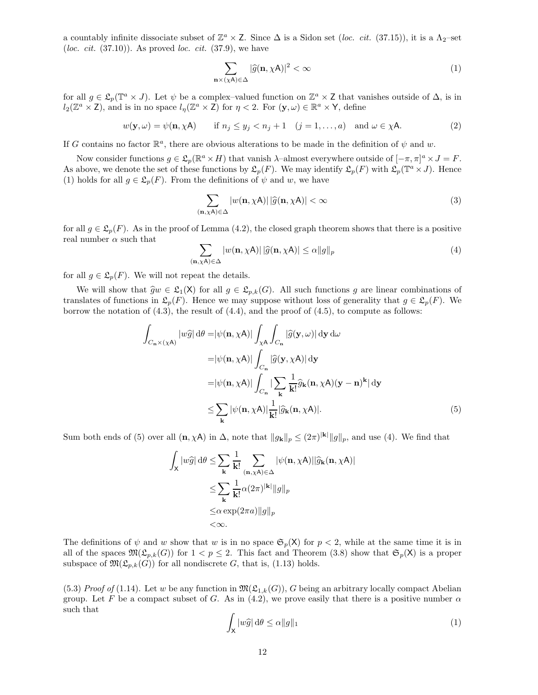a countably infinite dissociate subset of  $\mathbb{Z}^a \times Z$ . Since  $\Delta$  is a Sidon set (loc. cit. (37.15)), it is a  $\Lambda_2$ -set (loc. cit.  $(37.10)$ ). As proved loc. cit.  $(37.9)$ , we have

$$
\sum_{\mathbf{n}\times(\chi\mathbf{A})\in\Delta}|\widehat{g}(\mathbf{n},\chi\mathbf{A})|^2<\infty\tag{1}
$$

for all  $g \in \mathfrak{L}_p(\mathbb{T}^a \times J)$ . Let  $\psi$  be a complex-valued function on  $\mathbb{Z}^a \times \mathbb{Z}$  that vanishes outside of  $\Delta$ , is in  $l_2(\mathbb{Z}^a \times \mathbb{Z})$ , and is in no space  $l_\eta(\mathbb{Z}^a \times \mathbb{Z})$  for  $\eta < 2$ . For  $(\mathbf{y}, \omega) \in \mathbb{R}^a \times \mathsf{Y}$ , define

$$
w(\mathbf{y}, \omega) = \psi(\mathbf{n}, \chi \mathbf{A}) \quad \text{if } n_j \le y_j < n_j + 1 \quad (j = 1, \dots, a) \quad \text{and } \omega \in \chi \mathbf{A}. \tag{2}
$$

If G contains no factor  $\mathbb{R}^a$ , there are obvious alterations to be made in the definition of  $\psi$  and w.

Now consider functions  $g \in \mathfrak{L}_p(\mathbb{R}^a \times H)$  that vanish  $\lambda$ -almost everywhere outside of  $[-\pi, \pi]^a \times J = F$ . As above, we denote the set of these functions by  $\mathfrak{L}_p(F)$ . We may identify  $\mathfrak{L}_p(F)$  with  $\mathfrak{L}_p(\mathbb{T}^a \times J)$ . Hence (1) holds for all  $g \in \mathfrak{L}_n(F)$ . From the definitions of  $\psi$  and w, we have

$$
\sum_{(\mathbf{n},\chi\mathbf{A})\in\Delta} |w(\mathbf{n},\chi\mathbf{A})| |\widehat{g}(\mathbf{n},\chi\mathbf{A})| < \infty
$$
\n(3)

for all  $g \in \mathcal{L}_p(F)$ . As in the proof of Lemma (4.2), the closed graph theorem shows that there is a positive real number  $\alpha$  such that

$$
\sum_{(\mathbf{n},\chi\mathbf{A})\in\Delta} |w(\mathbf{n},\chi\mathbf{A})| |\widehat{g}(\mathbf{n},\chi\mathbf{A})| \le \alpha \|g\|_p \tag{4}
$$

for all  $g \in \mathfrak{L}_p(F)$ . We will not repeat the details.

We will show that  $\widehat{g}_w \in \mathfrak{L}_1(\mathsf{X})$  for all  $g \in \mathfrak{L}_{p,k}(G)$ . All such functions g are linear combinations of translates of functions in  $\mathfrak{L}_p(F)$ . Hence we may suppose without loss of generality that  $g \in \mathfrak{L}_p(F)$ . We borrow the notation of  $(4.3)$ , the result of  $(4.4)$ , and the proof of  $(4.5)$ , to compute as follows:

$$
\int_{C_{\mathbf{n}}\times(\chi\mathbf{A})} |w\hat{g}| d\theta = |\psi(\mathbf{n}, \chi\mathbf{A})| \int_{\chi\mathbf{A}} \int_{C_{\mathbf{n}}} |\hat{g}(\mathbf{y}, \omega)| d\mathbf{y} d\omega \n= |\psi(\mathbf{n}, \chi\mathbf{A})| \int_{C_{\mathbf{n}}} |\hat{g}(\mathbf{y}, \chi\mathbf{A})| d\mathbf{y} \n= |\psi(\mathbf{n}, \chi\mathbf{A})| \int_{C_{\mathbf{n}}} |\sum_{\mathbf{k}} \frac{1}{\mathbf{k}!} \hat{g}_{\mathbf{k}}(\mathbf{n}, \chi\mathbf{A})(\mathbf{y} - \mathbf{n})^{\mathbf{k}}| d\mathbf{y} \n\leq \sum_{\mathbf{k}} |\psi(\mathbf{n}, \chi\mathbf{A})| \frac{1}{\mathbf{k}!} |\hat{g}_{\mathbf{k}}(\mathbf{n}, \chi\mathbf{A})|.
$$
\n(5)

Sum both ends of (5) over all  $(\mathbf{n}, \chi \mathbf{A})$  in  $\Delta$ , note that  $||g_{\mathbf{k}}||_p \leq (2\pi)^{|\mathbf{k}|} ||g||_p$ , and use (4). We find that

$$
\int_{\mathsf{X}} |w\hat{g}| d\theta \leq \sum_{\mathbf{k}} \frac{1}{\mathbf{k}!} \sum_{(\mathbf{n}, \chi \mathsf{A}) \in \Delta} |\psi(\mathbf{n}, \chi \mathsf{A})| |\hat{g}_{\mathbf{k}}(\mathbf{n}, \chi \mathsf{A})|
$$
  
\n
$$
\leq \sum_{\mathbf{k}} \frac{1}{\mathbf{k}!} \alpha(2\pi)^{|\mathbf{k}|} ||g||_{p}
$$
  
\n
$$
\leq \alpha \exp(2\pi a) ||g||_{p}
$$
  
\n
$$
< \infty.
$$

The definitions of  $\psi$  and w show that w is in no space  $\mathfrak{S}_p(\mathsf{X})$  for  $p < 2$ , while at the same time it is in all of the spaces  $\mathfrak{M}(\mathcal{L}_{p,k}(G))$  for  $1 < p \leq 2$ . This fact and Theorem (3.8) show that  $\mathfrak{S}_p(\mathsf{X})$  is a proper subspace of  $\mathfrak{M}(\mathfrak{L}_{p,k}(G))$  for all nondiscrete G, that is, (1.13) holds.

(5.3) Proof of (1.14). Let w be any function in  $\mathfrak{M}(\mathfrak{L}_{1,k}(G))$ , G being an arbitrary locally compact Abelian group. Let F be a compact subset of G. As in (4.2), we prove easily that there is a positive number  $\alpha$ such that

$$
\int_{\mathsf{X}} |w\hat{g}| \, \mathrm{d}\theta \le \alpha \|g\|_1 \tag{1}
$$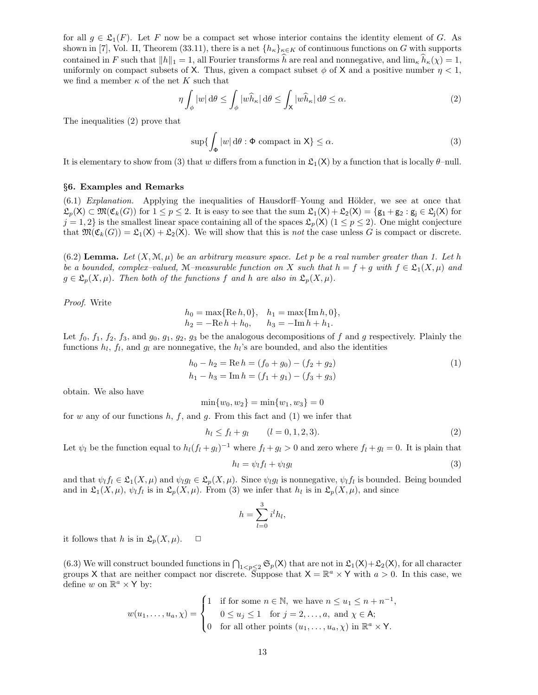for all  $g \in \mathfrak{L}_1(F)$ . Let F now be a compact set whose interior contains the identity element of G. As shown in [7], Vol. II, Theorem (33.11), there is a net  ${h_{\kappa}}_{\kappa \in K}$  of continuous functions on G with supports contained in F such that  $||h||_1 = 1$ , all Fourier transforms h are real and nonnegative, and  $\lim_{\kappa} h_{\kappa}(\chi) = 1$ , uniformly on compact subsets of X. Thus, given a compact subset  $\phi$  of X and a positive number  $\eta < 1$ , we find a member  $\kappa$  of the net K such that

$$
\eta \int_{\phi} |w| \, d\theta \le \int_{\phi} |w \widehat{h}_{\kappa}| \, d\theta \le \int_{\mathsf{X}} |w \widehat{h}_{\kappa}| \, d\theta \le \alpha. \tag{2}
$$

The inequalities (2) prove that

$$
\sup\{\int_{\Phi}|w|\,\mathrm{d}\theta:\Phi\,\,\mathrm{compact}\,\,\mathrm{in}\,\,\mathsf{X}\}\le\alpha.\tag{3}
$$

It is elementary to show from (3) that w differs from a function in  $\mathfrak{L}_1(\mathsf{X})$  by a function that is locally  $\theta$ -null.

#### §6. Examples and Remarks

 $(6.1)$  Explanation. Applying the inequalities of Hausdorff–Young and Hölder, we see at once that  $\mathfrak{L}_p(\mathsf{X}) \subset \mathfrak{M}(\mathfrak{C}_k(G))$  for  $1 \leq p \leq 2$ . It is easy to see that the sum  $\mathfrak{L}_1(\mathsf{X}) + \mathfrak{L}_2(\mathsf{X}) = \{g_1 + g_2 : g_j \in \mathfrak{L}_j(\mathsf{X}) \text{ for } j \in \mathfrak{L}_j(\mathsf{X}) \text{ for } j \in \mathfrak{L}_j(\mathsf{X}) \text{ for } j \in \mathfrak{L}_j(\mathsf{X}) \text{ for } j \in \mathfr$  $j = 1, 2$  is the smallest linear space containing all of the spaces  $\mathcal{L}_p(\mathsf{X})$  ( $1 \leq p \leq 2$ ). One might conjecture that  $\mathfrak{M}(\mathfrak{C}_k(G)) = \mathfrak{L}_1(\mathsf{X}) + \mathfrak{L}_2(\mathsf{X})$ . We will show that this is *not* the case unless G is compact or discrete.

(6.2) Lemma. Let  $(X, \mathcal{M}, \mu)$  be an arbitrary measure space. Let p be a real number greater than 1. Let h be a bounded, complex–valued, M–measurable function on X such that  $h = f + g$  with  $f \in \mathfrak{L}_1(X, \mu)$  and  $g \in \mathfrak{L}_p(X, \mu)$ . Then both of the functions f and h are also in  $\mathfrak{L}_p(X, \mu)$ .

Proof. Write

$$
h_0 = \max\{\text{Re } h, 0\}, \quad h_1 = \max\{\text{Im } h, 0\},
$$
  

$$
h_2 = -\text{Re } h + h_0, \qquad h_3 = -\text{Im } h + h_1.
$$

Let  $f_0$ ,  $f_1$ ,  $f_2$ ,  $f_3$ , and  $g_0$ ,  $g_1$ ,  $g_2$ ,  $g_3$  be the analogous decompositions of f and g respectively. Plainly the functions  $h_l$ ,  $f_l$ , and  $g_l$  are nonnegative, the  $h_l$ 's are bounded, and also the identities

$$
h_0 - h_2 = \text{Re } h = (f_0 + g_0) - (f_2 + g_2)
$$
  
\n
$$
h_1 - h_3 = \text{Im } h = (f_1 + g_1) - (f_3 + g_3)
$$
\n(1)

obtain. We also have

 $\min\{w_0, w_2\} = \min\{w_1, w_3\} = 0$ 

for w any of our functions  $h, f$ , and  $g$ . From this fact and (1) we infer that

$$
h_l \le f_l + g_l \qquad (l = 0, 1, 2, 3). \tag{2}
$$

Let  $\psi_l$  be the function equal to  $h_l(f_l + g_l)^{-1}$  where  $f_l + g_l > 0$  and zero where  $f_l + g_l = 0$ . It is plain that

$$
h_l = \psi_l f_l + \psi_l g_l \tag{3}
$$

and that  $\psi_l f_l \in \mathfrak{L}_1(X,\mu)$  and  $\psi_l g_l \in \mathfrak{L}_p(X,\mu)$ . Since  $\psi_l g_l$  is nonnegative,  $\psi_l f_l$  is bounded. Being bounded and in  $\mathfrak{L}_1(X,\mu), \psi_l f_l$  is in  $\mathfrak{L}_p(X,\mu)$ . From (3) we infer that  $h_l$  is in  $\mathfrak{L}_p(X,\mu)$ , and since

$$
h = \sum_{l=0}^{3} i^l h_l,
$$

it follows that h is in  $\mathfrak{L}_p(X,\mu)$ .  $\Box$ 

(6.3) We will construct bounded functions in  $\bigcap_{1 \leq p \leq 2} \mathfrak{S}_p(\mathsf{X})$  that are not in  $\mathfrak{L}_1(\mathsf{X})+\mathfrak{L}_2(\mathsf{X})$ , for all character groups X that are neither compact nor discrete. Suppose that  $X = \mathbb{R}^a \times Y$  with  $a > 0$ . In this case, we define w on  $\mathbb{R}^a \times Y$  by:

$$
w(u_1, \ldots, u_a, \chi) = \begin{cases} 1 & \text{if for some } n \in \mathbb{N}, \text{ we have } n \le u_1 \le n + n^{-1}, \\ 0 \le u_j \le 1 & \text{for } j = 2, \ldots, a, \text{ and } \chi \in \mathsf{A}; \\ 0 & \text{for all other points } (u_1, \ldots, u_a, \chi) \text{ in } \mathbb{R}^a \times \mathsf{Y}. \end{cases}
$$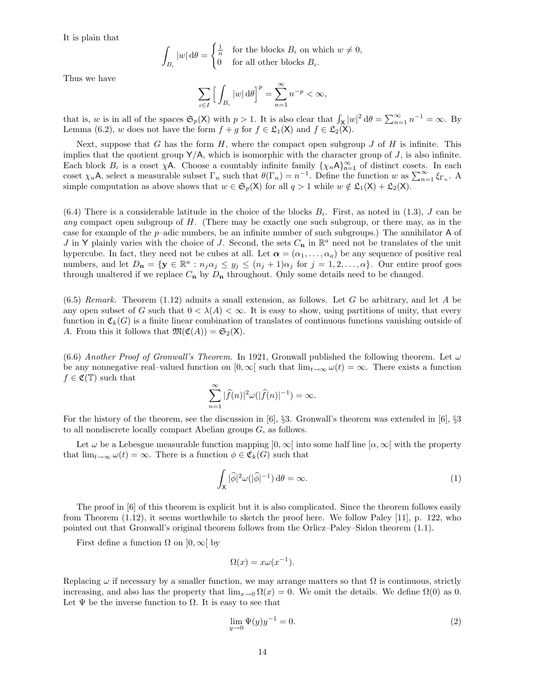It is plain that

$$
\int_{B_{\iota}}|w|\,\mathrm{d}\theta=\begin{cases}\frac{1}{n} & \text{for the blocks }B_{\iota}\text{ on which }w\neq 0,\\0 & \text{for all other blocks }B_{\iota}.\end{cases}
$$

Thus we have

$$
\sum_{\iota \in I} \Big[ \int_{B_{\iota}} |w| \, d\theta \Big]^p = \sum_{n=1}^{\infty} n^{-p} < \infty,
$$

that is, w is in all of the spaces  $\mathfrak{S}_p(\mathsf{X})$  with  $p > 1$ . It is also clear that  $\int_{\mathsf{X}} |w|^2 d\theta = \sum_{n=1}^{\infty} n^{-1} = \infty$ . By Lemma (6.2), w does not have the form  $f + g$  for  $f \in \mathcal{L}_1(\mathsf{X})$  and  $f \in \mathcal{L}_2(\mathsf{X})$ .

Next, suppose that G has the form  $H$ , where the compact open subgroup J of H is infinite. This implies that the quotient group  $Y/A$ , which is isomorphic with the character group of  $J$ , is also infinite. Each block  $B_t$  is a coset  $\chi$ A. Choose a countably infinite family  $\{\chi_n A\}_{n=1}^{\infty}$  of distinct cosets. In each coset  $\chi_n$ A, select a measurable subset  $\Gamma_n$  such that  $\theta(\Gamma_n) = n^{-1}$ . Define the function w as  $\sum_{n=1}^{\infty} \xi_{\Gamma_n}$ . A simple computation as above shows that  $w \in \mathfrak{S}_p(X)$  for all  $q > 1$  while  $w \notin \mathfrak{L}_1(X) + \mathfrak{L}_2(X)$ .

 $(6.4)$  There is a considerable latitude in the choice of the blocks  $B_t$ . First, as noted in (1.3), J can be any compact open subgroup of H. (There may be exactly one such subgroup, or there may, as in the case for example of the  $p$ –adic numbers, be an infinite number of such subgroups.) The annihilator A of J in Y plainly varies with the choice of J. Second, the sets  $C_n$  in  $\mathbb{R}^a$  need not be translates of the unit hypercube. In fact, they need not be cubes at all. Let  $\alpha = (\alpha_1, \dots, \alpha_a)$  be any sequence of positive real numbers, and let  $D_n = \{y \in \mathbb{R}^a : n_j \alpha_j \le y_j \le (n_j + 1) \alpha_j \text{ for } j = 1, 2, ..., \alpha\}$ . Our entire proof goes through unaltered if we replace  $C_n$  by  $D_n$  throughout. Only some details need to be changed.

 $(6.5)$  Remark. Theorem  $(1.12)$  admits a small extension, as follows. Let G be arbitrary, and let A be any open subset of G such that  $0 < \lambda(A) < \infty$ . It is easy to show, using partitions of unity, that every function in  $\mathfrak{C}_k(G)$  is a finite linear combination of translates of continuous functions vanishing outside of A. From this it follows that  $\mathfrak{M}(\mathfrak{C}(A)) = \mathfrak{S}_2(\mathsf{X})$ .

(6.6) Another Proof of Gronwall's Theorem. In 1921, Gronwall published the following theorem. Let  $\omega$ be any nonnegative real–valued function on  $[0, \infty)$  such that  $\lim_{t\to\infty} \omega(t) = \infty$ . There exists a function  $f \in \mathfrak{C}(\mathbb{T})$  such that

$$
\sum_{n=1}^{\infty} |\widehat{f}(n)|^2 \omega(|\widehat{f}(n)|^{-1}) = \infty.
$$

For the history of the theorem, see the discussion in [6], §3. Gronwall's theorem was extended in [6], §3 to all nondiscrete locally compact Abelian groups G, as follows.

Let  $\omega$  be a Lebesgue measurable function mapping  $[0, \infty]$  into some half line  $[\alpha, \infty]$  with the property that  $\lim_{t\to\infty}\omega(t)=\infty$ . There is a function  $\phi\in\mathfrak{C}_k(G)$  such that

$$
\int_{\mathsf{X}} |\widehat{\phi}|^2 \omega(|\widehat{\phi}|^{-1}) d\theta = \infty.
$$
 (1)

The proof in [6] of this theorem is explicit but it is also complicated. Since the theorem follows easily from Theorem (1.12), it seems worthwhile to sketch the proof here. We follow Paley [11], p. 122, who pointed out that Gronwall's original theorem follows from the Orlicz–Paley–Sidon theorem (1.1).

First define a function  $\Omega$  on  $]0, \infty[$  by

$$
\Omega(x) = x\omega(x^{-1}).
$$

Replacing  $\omega$  if necessary by a smaller function, we may arrange matters so that  $\Omega$  is continuous, strictly increasing, and also has the property that  $\lim_{x\to 0} \Omega(x) = 0$ . We omit the details. We define  $\Omega(0)$  as 0. Let  $\Psi$  be the inverse function to  $\Omega$ . It is easy to see that

$$
\lim_{y \to 0} \Psi(y)y^{-1} = 0.
$$
\n(2)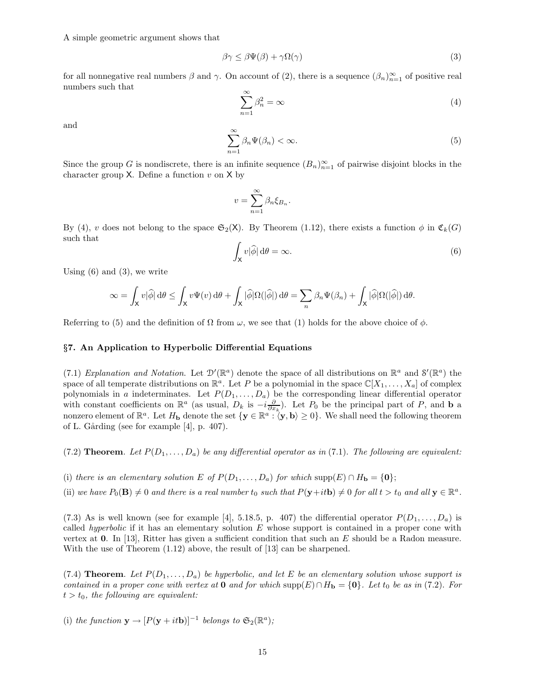A simple geometric argument shows that

$$
\beta \gamma \le \beta \Psi(\beta) + \gamma \Omega(\gamma) \tag{3}
$$

for all nonnegative real numbers  $\beta$  and  $\gamma$ . On account of (2), there is a sequence  $(\beta_n)_{n=1}^{\infty}$  of positive real numbers such that

$$
\sum_{n=1}^{\infty} \beta_n^2 = \infty \tag{4}
$$

and

$$
\sum_{n=1}^{\infty} \beta_n \Psi(\beta_n) < \infty. \tag{5}
$$

Since the group G is nondiscrete, there is an infinite sequence  $(B_n)_{n=1}^{\infty}$  of pairwise disjoint blocks in the character group  $X$ . Define a function  $v$  on  $X$  by

$$
v = \sum_{n=1}^{\infty} \beta_n \xi_{B_n}.
$$

By (4), v does not belong to the space  $\mathfrak{S}_2(\mathsf{X})$ . By Theorem (1.12), there exists a function  $\phi$  in  $\mathfrak{C}_k(G)$ such that

$$
\int_{\mathsf{X}} v|\widehat{\phi}| \, \mathrm{d}\theta = \infty. \tag{6}
$$

Using  $(6)$  and  $(3)$ , we write

$$
\infty = \int_{\mathsf{X}} v|\widehat{\phi}| \, \mathrm{d}\theta \le \int_{\mathsf{X}} v\Psi(v) \, \mathrm{d}\theta + \int_{\mathsf{X}} |\widehat{\phi}|\Omega(|\widehat{\phi}|) \, \mathrm{d}\theta = \sum_{n} \beta_n \Psi(\beta_n) + \int_{\mathsf{X}} |\widehat{\phi}|\Omega(|\widehat{\phi}|) \, \mathrm{d}\theta.
$$

Referring to (5) and the definition of  $\Omega$  from  $\omega$ , we see that (1) holds for the above choice of  $\phi$ .

# §7. An Application to Hyperbolic Differential Equations

(7.1) Explanation and Notation. Let  $\mathcal{D}'(\mathbb{R}^a)$  denote the space of all distributions on  $\mathbb{R}^a$  and  $\mathcal{S}'(\mathbb{R}^a)$  the space of all temperate distributions on  $\mathbb{R}^a$ . Let P be a polynomial in the space  $\mathbb{C}[X_1,\ldots,X_a]$  of complex polynomials in a indeterminates. Let  $P(D_1, \ldots, D_a)$  be the corresponding linear differential operator with constant coefficients on  $\mathbb{R}^a$  (as usual,  $D_k$  is  $-i\frac{\partial}{\partial x_k}$ ). Let  $P_0$  be the principal part of  $P$ , and **b** a nonzero element of  $\mathbb{R}^a$ . Let  $H_{\bf b}$  denote the set  $\{{\bf y} \in \mathbb{R}^a : {\langle} {\bf y}, {\bf b} \rangle \ge 0\}$ . We shall need the following theorem of L. Gårding (see for example  $[4]$ , p. 407).

(7.2) **Theorem.** Let  $P(D_1, \ldots, D_a)$  be any differential operator as in (7.1). The following are equivalent:

- (i) there is an elementary solution E of  $P(D_1, \ldots, D_a)$  for which supp $(E) \cap H_{\bf b} = \{0\};$
- (ii) we have  $P_0(\mathbf{B}) \neq 0$  and there is a real number  $t_0$  such that  $P(\mathbf{y}+it\mathbf{b}) \neq 0$  for all  $t > t_0$  and all  $\mathbf{y} \in \mathbb{R}^a$ .

(7.3) As is well known (see for example [4], 5.18.5, p. 407) the differential operator  $P(D_1, \ldots, D_a)$  is called *hyperbolic* if it has an elementary solution  $E$  whose support is contained in a proper cone with vertex at 0. In [13], Ritter has given a sufficient condition that such an  $E$  should be a Radon measure. With the use of Theorem (1.12) above, the result of [13] can be sharpened.

(7.4) **Theorem.** Let  $P(D_1, \ldots, D_a)$  be hyperbolic, and let E be an elementary solution whose support is contained in a proper cone with vertex at 0 and for which supp $(E) \cap H_{\bf b} = \{0\}$ . Let t<sub>0</sub> be as in (7.2). For  $t > t_0$ , the following are equivalent:

(i) the function 
$$
\mathbf{y} \to [P(\mathbf{y} + it\mathbf{b})]^{-1}
$$
 belongs to  $\mathfrak{S}_2(\mathbb{R}^a)$ ;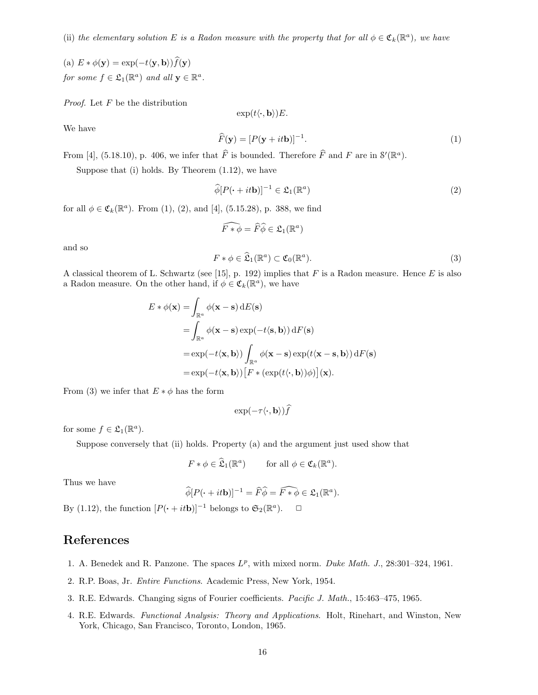(ii) the elementary solution E is a Radon measure with the property that for all  $\phi \in \mathfrak{C}_k(\mathbb{R}^a)$ , we have

(a)  $E * \phi(\mathbf{y}) = \exp(-t\langle \mathbf{y}, \mathbf{b} \rangle) \hat{f}(\mathbf{y})$ for some  $f \in \mathfrak{L}_1(\mathbb{R}^a)$  and all  $\mathbf{y} \in \mathbb{R}^a$ .

*Proof.* Let  $F$  be the distribution

 $\exp(t\langle\cdot,\mathbf{b}\rangle)E.$ 

We have

$$
\widehat{F}(\mathbf{y}) = [P(\mathbf{y} + it\mathbf{b})]^{-1}.
$$
\n(1)

From [4], (5.18.10), p. 406, we infer that  $\hat{F}$  is bounded. Therefore  $\hat{F}$  and F are in  $\mathcal{S}'(\mathbb{R}^a)$ .

Suppose that (i) holds. By Theorem (1.12), we have

$$
\widehat{\phi}[P(\cdot + it\mathbf{b})]^{-1} \in \mathfrak{L}_1(\mathbb{R}^a)
$$
\n(2)

for all  $\phi \in \mathfrak{C}_k(\mathbb{R}^a)$ . From (1), (2), and [4], (5.15.28), p. 388, we find

$$
\widehat{F\ast\phi}=\widehat{F}\widehat{\phi}\in\mathfrak{L}_1(\mathbb{R}^a)
$$

and so

$$
F * \phi \in \widehat{\mathfrak{L}}_1(\mathbb{R}^a) \subset \mathfrak{C}_0(\mathbb{R}^a). \tag{3}
$$

A classical theorem of L. Schwartz (see [15], p. 192) implies that  $F$  is a Radon measure. Hence  $E$  is also a Radon measure. On the other hand, if  $\phi \in \mathfrak{C}_k(\mathbb{R}^d)$ , we have

$$
E * \phi(\mathbf{x}) = \int_{\mathbb{R}^a} \phi(\mathbf{x} - \mathbf{s}) \, dE(\mathbf{s})
$$
  
= 
$$
\int_{\mathbb{R}^a} \phi(\mathbf{x} - \mathbf{s}) \exp(-t \langle \mathbf{s}, \mathbf{b} \rangle) \, dF(\mathbf{s})
$$
  
= 
$$
\exp(-t \langle \mathbf{x}, \mathbf{b} \rangle) \int_{\mathbb{R}^a} \phi(\mathbf{x} - \mathbf{s}) \exp(t \langle \mathbf{x} - \mathbf{s}, \mathbf{b} \rangle) \, dF(\mathbf{s})
$$
  
= 
$$
\exp(-t \langle \mathbf{x}, \mathbf{b} \rangle) [F * (\exp(t \langle \cdot, \mathbf{b} \rangle) \phi)](\mathbf{x}).
$$

From (3) we infer that  $E * \phi$  has the form

 $\exp(-\tau \langle \cdot, \mathbf{b} \rangle) \hat{f}$ 

for some  $f \in \mathfrak{L}_1(\mathbb{R}^a)$ .

Suppose conversely that (ii) holds. Property (a) and the argument just used show that

$$
F * \phi \in \widehat{\mathfrak{L}}_1(\mathbb{R}^a) \qquad \text{for all } \phi \in \mathfrak{C}_k(\mathbb{R}^a).
$$

Thus we have

$$
\widehat{\phi}[P(\cdot+it\mathbf{b})]^{-1} = \widehat{F}\widehat{\phi} = \widehat{F*\phi} \in \mathfrak{L}_1(\mathbb{R}^a).
$$

By (1.12), the function  $[P(\cdot + it\mathbf{b})]^{-1}$  belongs to  $\mathfrak{S}_2(\mathbb{R}^a)$ .  $\Box$ 

# References

- 1. A. Benedek and R. Panzone. The spaces  $L^p$ , with mixed norm. Duke Math. J., 28:301-324, 1961.
- 2. R.P. Boas, Jr. Entire Functions. Academic Press, New York, 1954.
- 3. R.E. Edwards. Changing signs of Fourier coefficients. Pacific J. Math., 15:463–475, 1965.
- 4. R.E. Edwards. Functional Analysis: Theory and Applications. Holt, Rinehart, and Winston, New York, Chicago, San Francisco, Toronto, London, 1965.